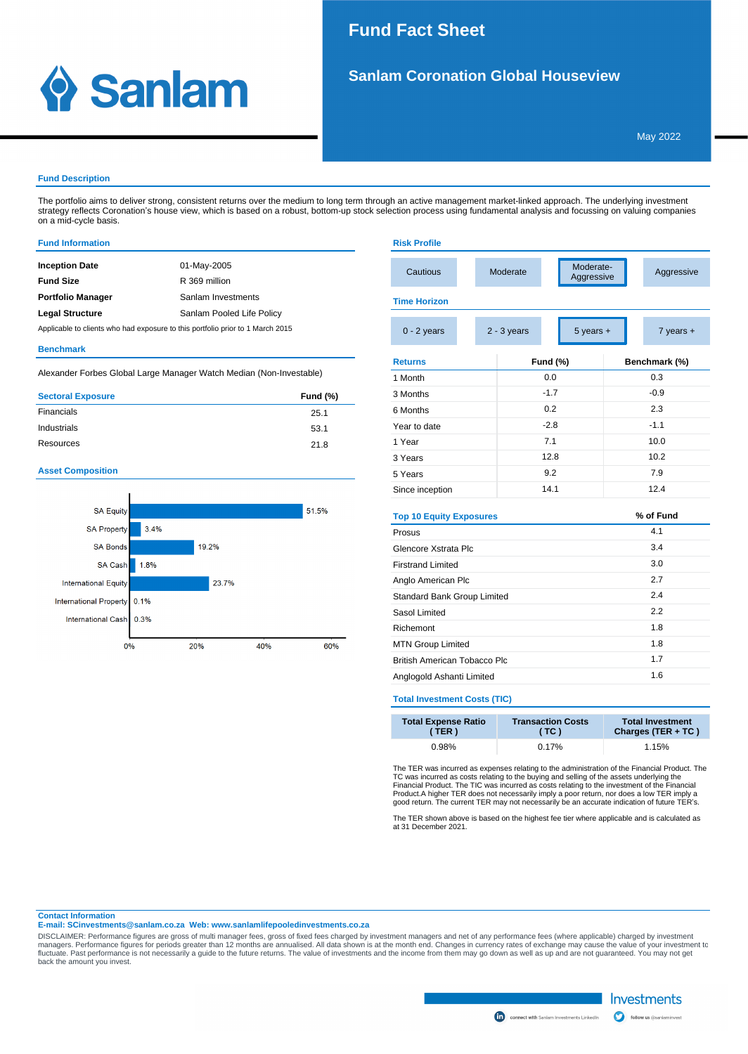## 1. SIL SANLAM CORONATION GLOBAL HOUSE VIEW PLANTAM CONTINUES ON A SERVICE STATE OF SANLAM CONTINUES ON A SERVICE STATE OF SANLAM CONTINUES ON A SERVICE STATE OF SANLAM CONTINUES ON A SERVICE STATE OF SANLAM CONTINUES ON A **Fund Fact Sheet**

**Risk Profile**



# **Sanlam Coronation Global Houseview**

### **Fund Description**

The portfolio aims to deliver strong, consistent returns over the medium to long term through an active management market-linked approach. The underlying investment strategy reflects Coronation's house view, which is based on a robust, bottom-up stock selection process using fundamental analysis and focussing on valuing companies on a mid-cycle basis.

### **Fund Information**

| 01-May-2005               |
|---------------------------|
| R 369 million             |
| Sanlam Investments        |
| Sanlam Pooled Life Policy |
|                           |

Applicable to clients who had exposure to this portfolio prior to 1 March 2015

#### **Benchmark**

Alexander Forbes Global Large Manager Watch Median (Non-Investable)

| <b>Sectoral Exposure</b> | <b>Fund (%)</b> |
|--------------------------|-----------------|
| Financials               | 25.1            |
| Industrials              | 53.1            |
| Resources                | 21.8            |

### **Asset Composition**



| Cautious                            |  | Moderate                       |        | Moderate-<br>Aggressive |      | Aggressive    |  |
|-------------------------------------|--|--------------------------------|--------|-------------------------|------|---------------|--|
| <b>Time Horizon</b>                 |  |                                |        |                         |      |               |  |
| $0 - 2$ years                       |  | $2 - 3$ years<br>$5$ years $+$ |        |                         |      | $7$ years $+$ |  |
| <b>Returns</b>                      |  | <b>Fund (%)</b>                |        |                         |      | Benchmark (%) |  |
| 1 Month                             |  |                                | 0.0    |                         |      | 0.3           |  |
| 3 Months                            |  |                                | $-1.7$ |                         |      | $-0.9$        |  |
| 6 Months                            |  |                                | 0.2    |                         |      | 2.3           |  |
| Year to date                        |  |                                | $-2.8$ |                         |      | $-1.1$        |  |
| 1 Year                              |  |                                | 7.1    |                         |      | 10.0          |  |
| 3 Years                             |  | 12.8                           |        |                         | 10.2 |               |  |
| 5 Years                             |  | 9.2                            |        |                         | 7.9  |               |  |
| Since inception                     |  | 14.1                           |        |                         | 12.4 |               |  |
| <b>Top 10 Equity Exposures</b>      |  |                                |        |                         |      | % of Fund     |  |
| Prosus                              |  |                                |        |                         | 4.1  |               |  |
| Glencore Xstrata Plc                |  |                                |        |                         |      | 3.4           |  |
| <b>Firstrand Limited</b>            |  |                                |        |                         | 3.0  |               |  |
| Anglo American Plc                  |  |                                |        | 2.7                     |      |               |  |
| Standard Bank Group Limited         |  |                                |        | 2.4                     |      |               |  |
| Sasol Limited                       |  |                                |        | 2.2                     |      |               |  |
| Richemont                           |  |                                |        | 1.8                     |      |               |  |
| <b>MTN Group Limited</b>            |  |                                | 1.8    |                         |      |               |  |
| <b>British American Tobacco Plc</b> |  |                                |        |                         | 1.7  |               |  |
| Anglogold Ashanti Limited           |  |                                |        |                         | 1.6  |               |  |

### **Total Investment Costs (TIC)**

| <b>Total Expense Ratio</b> | <b>Transaction Costs</b> | <b>Total Investment</b> |
|----------------------------|--------------------------|-------------------------|
| (TER)                      | (TC)                     | Charges (TER + TC)      |
| 0.98%                      | 0.17%                    | 1.15%                   |

The TER was incurred as expenses relating to the administration of the Financial Product. The TC was incurred as costs relating to the buying and selling of the assets underlying the TC mancial Financial Froduct. The TIC w

The TER shown above is based on the highest fee tier where applicable and is calculated as at 31 December 2021.

#### **Contact Information**

**E-mail: SCinvestments@sanlam.co.za Web: www.sanlamlifepooledinvestments.co.za**

DISCLAIMER: Performance figures are gross of multi manager fees, gross of fixed fees charged by investment managers and net of any performance fees (where applicable) charged by investment to<br>managers. Performance figures back the amount you invest.